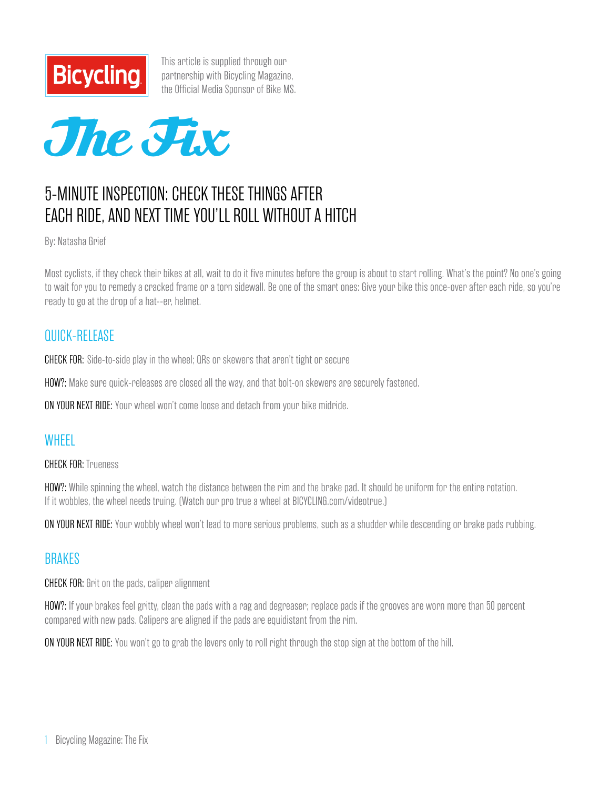

This article is supplied through our partnership with Bicycling Magazine, [the Official Media Sponsor of Bike MS.](http://www.bicycling.com/)



# 5-minute inspection: Check these things after each ride, and next time you'll roll without a hitch

By: Natasha Grief

Most cyclists, if they check their bikes at all, wait to do it five minutes before the group is about to start rolling. What's the point? No one's going to wait for you to remedy a cracked frame or a torn sidewall. Be one of the smart ones: Give your bike this once-over after each ride, so you're ready to go at the drop of a hat--er, helmet.

#### QUICK-RELEASE

CHECK FOR: Side-to-side play in the wheel; QRs or skewers that aren't tight or secure

HOW?: Make sure quick-releases are closed all the way, and that bolt-on skewers are securely fastened.

ON YOUR NEXT RIDE: Your wheel won't come loose and detach from your bike midride.

#### **WHFFI**

CHECK FOR: Trueness

HOW?: While spinning the wheel, watch the distance between the rim and the brake pad. It should be uniform for the entire rotation. If it wobbles, the wheel needs truing. (Watch our pro true a wheel at BICYCLING.com/videotrue.)

ON YOUR NEXT RIDE: Your wobbly wheel won't lead to more serious problems, such as a shudder while descending or brake pads rubbing.

#### BRAKES

**CHECK FOR:** Grit on the pads, caliper alignment

HOW?: If your brakes feel gritty, clean the pads with a rag and degreaser; replace pads if the grooves are worn more than 50 percent compared with new pads. Calipers are aligned if the pads are equidistant from the rim.

**ON YOUR NEXT RIDE:** You won't go to grab the levers only to roll right through the stop sign at the bottom of the hill.